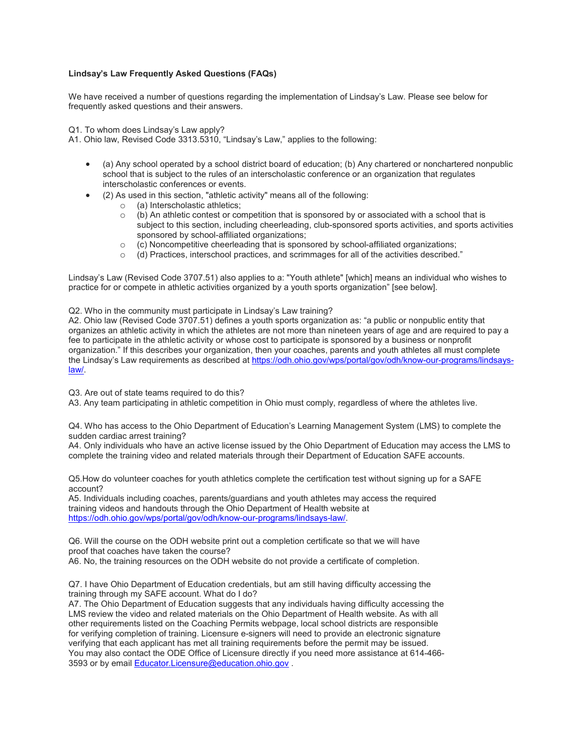## **Lindsay's Law Frequently Asked Questions (FAQs)**

We have received a number of questions regarding the implementation of Lindsay's Law. Please see below for frequently asked questions and their answers.

Q1. To whom does Lindsay's Law apply?

A1. Ohio law, Revised Code 3313.5310, "Lindsay's Law," applies to the following:

- (a) Any school operated by a school district board of education; (b) Any chartered or nonchartered nonpublic school that is subject to the rules of an interscholastic conference or an organization that regulates interscholastic conferences or events.
- (2) As used in this section, "athletic activity" means all of the following:
	- $\circ$  (a) Interscholastic athletics;<br> $\circ$  (b) An athletic contest or cor
	- $(b)$  An athletic contest or competition that is sponsored by or associated with a school that is subject to this section, including cheerleading, club-sponsored sports activities, and sports activities sponsored by school-affiliated organizations;
	- $\circ$  (c) Noncompetitive cheerleading that is sponsored by school-affiliated organizations;
	- o (d) Practices, interschool practices, and scrimmages for all of the activities described."

Lindsay's Law (Revised Code 3707.51) also applies to a: "Youth athlete" [which] means an individual who wishes to practice for or compete in athletic activities organized by a youth sports organization" [see below].

Q2. Who in the community must participate in Lindsay's Law training?

A2. Ohio law (Revised Code 3707.51) defines a youth sports organization as: "a public or nonpublic entity that organizes an athletic activity in which the athletes are not more than nineteen years of age and are required to pay a fee to participate in the athletic activity or whose cost to participate is sponsored by a business or nonprofit organization." If this describes your organization, then your coaches, parents and youth athletes all must complete the Lindsay's Law requirements as described a[t https://odh.ohio.gov/wps/portal/gov/odh/know-our-programs/lindsays](https://odh.ohio.gov/wps/portal/gov/odh/know-our-programs/lindsays-law/)[law/.](https://odh.ohio.gov/wps/portal/gov/odh/know-our-programs/lindsays-law/)

Q3. Are out of state teams required to do this?

A3. Any team participating in athletic competition in Ohio must comply, regardless of where the athletes live.

Q4. Who has access to the Ohio Department of Education's Learning Management System (LMS) to complete the sudden cardiac arrest training?

A4. Only individuals who have an active license issued by the Ohio Department of Education may access the LMS to complete the training video and related materials through their Department of Education SAFE accounts.

Q5.How do volunteer coaches for youth athletics complete the certification test without signing up for a SAFE account?

A5. Individuals including coaches, parents/guardians and youth athletes may access the required training videos and handouts through the Ohio Department of Health website at [https://odh.ohio.gov/wps/portal/gov/odh/know-our-programs/lindsays-law/.](https://odh.ohio.gov/wps/portal/gov/odh/know-our-programs/lindsays-law/)

Q6. Will the course on the ODH website print out a completion certificate so that we will have proof that coaches have taken the course?

A6. No, the training resources on the ODH website do not provide a certificate of completion.

Q7. I have Ohio Department of Education credentials, but am still having difficulty accessing the training through my SAFE account. What do I do?

A7. The Ohio Department of Education suggests that any individuals having difficulty accessing the LMS review the video and related materials on the Ohio Department of Health website. As with all other requirements listed on the Coaching Permits webpage, local school districts are responsible for verifying completion of training. Licensure e-signers will need to provide an electronic signature verifying that each applicant has met all training requirements before the permit may be issued. You may also contact the ODE Office of Licensure directly if you need more assistance at 614-466- 3593 or by email [Educator.Licensure@education.ohio.gov](mailto:Educator.Licensure@education.ohio.gov) .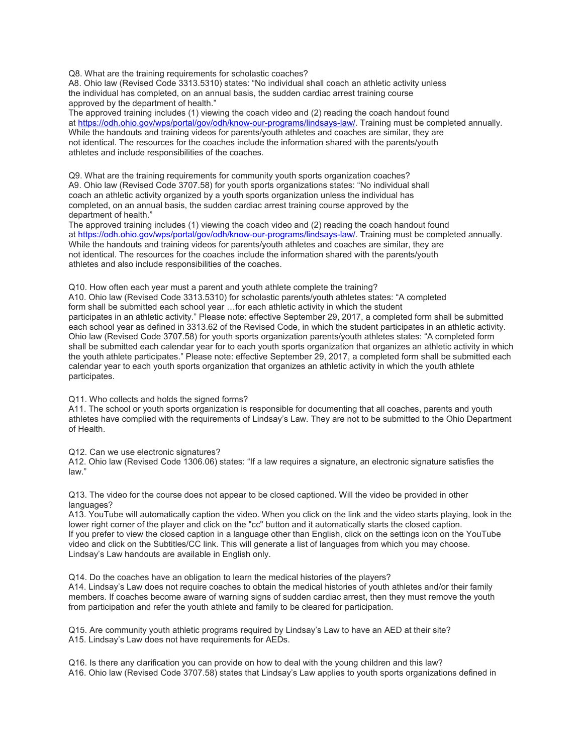Q8. What are the training requirements for scholastic coaches?

A8. Ohio law (Revised Code 3313.5310) states: "No individual shall coach an athletic activity unless the individual has completed, on an annual basis, the sudden cardiac arrest training course approved by the department of health."

The approved training includes (1) viewing the coach video and (2) reading the coach handout found at [https://odh.ohio.gov/wps/portal/gov/odh/know-our-programs/lindsays-law/.](https://odh.ohio.gov/wps/portal/gov/odh/know-our-programs/lindsays-law/) Training must be completed annually. While the handouts and training videos for parents/youth athletes and coaches are similar, they are not identical. The resources for the coaches include the information shared with the parents/youth athletes and include responsibilities of the coaches.

Q9. What are the training requirements for community youth sports organization coaches? A9. Ohio law (Revised Code 3707.58) for youth sports organizations states: "No individual shall coach an athletic activity organized by a youth sports organization unless the individual has completed, on an annual basis, the sudden cardiac arrest training course approved by the department of health."

The approved training includes (1) viewing the coach video and (2) reading the coach handout found at [https://odh.ohio.gov/wps/portal/gov/odh/know-our-programs/lindsays-law/.](https://odh.ohio.gov/wps/portal/gov/odh/know-our-programs/lindsays-law/) Training must be completed annually. While the handouts and training videos for parents/youth athletes and coaches are similar, they are not identical. The resources for the coaches include the information shared with the parents/youth athletes and also include responsibilities of the coaches.

Q10. How often each year must a parent and youth athlete complete the training?

A10. Ohio law (Revised Code 3313.5310) for scholastic parents/youth athletes states: "A completed form shall be submitted each school year …for each athletic activity in which the student participates in an athletic activity." Please note: effective September 29, 2017, a completed form shall be submitted each school year as defined in 3313.62 of the Revised Code, in which the student participates in an athletic activity. Ohio law (Revised Code 3707.58) for youth sports organization parents/youth athletes states: "A completed form shall be submitted each calendar year for to each youth sports organization that organizes an athletic activity in which the youth athlete participates." Please note: effective September 29, 2017, a completed form shall be submitted each calendar year to each youth sports organization that organizes an athletic activity in which the youth athlete participates.

Q11. Who collects and holds the signed forms?

A11. The school or youth sports organization is responsible for documenting that all coaches, parents and youth athletes have complied with the requirements of Lindsay's Law. They are not to be submitted to the Ohio Department of Health.

Q12. Can we use electronic signatures?

A12. Ohio law (Revised Code 1306.06) states: "If a law requires a signature, an electronic signature satisfies the law."

Q13. The video for the course does not appear to be closed captioned. Will the video be provided in other languages?

A13. YouTube will automatically caption the video. When you click on the link and the video starts playing, look in the lower right corner of the player and click on the "cc" button and it automatically starts the closed caption. If you prefer to view the closed caption in a language other than English, click on the settings icon on the YouTube video and click on the Subtitles/CC link. This will generate a list of languages from which you may choose. Lindsay's Law handouts are available in English only.

Q14. Do the coaches have an obligation to learn the medical histories of the players? A14. Lindsay's Law does not require coaches to obtain the medical histories of youth athletes and/or their family members. If coaches become aware of warning signs of sudden cardiac arrest, then they must remove the youth from participation and refer the youth athlete and family to be cleared for participation.

Q15. Are community youth athletic programs required by Lindsay's Law to have an AED at their site? A15. Lindsay's Law does not have requirements for AEDs.

Q16. Is there any clarification you can provide on how to deal with the young children and this law? A16. Ohio law (Revised Code 3707.58) states that Lindsay's Law applies to youth sports organizations defined in